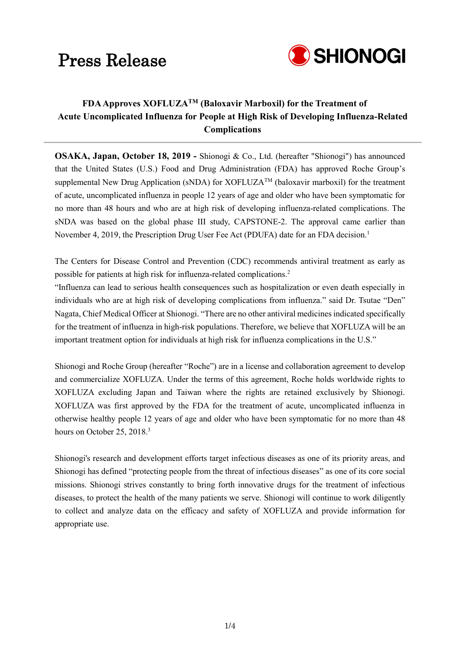

### **FDA Approves XOFLUZATM (Baloxavir Marboxil) for the Treatment of Acute Uncomplicated Influenza for People at High Risk of Developing Influenza-Related Complications**

**OSAKA, Japan, October 18, 2019 -** Shionogi & Co., Ltd. (hereafter "Shionogi") has announced that the United States (U.S.) Food and Drug Administration (FDA) has approved Roche Group's supplemental New Drug Application (sNDA) for XOFLUZA<sup>TM</sup> (baloxavir marboxil) for the treatment of acute, uncomplicated influenza in people 12 years of age and older who have been symptomatic for no more than 48 hours and who are at high risk of developing influenza-related complications. The sNDA was based on the global phase III study, CAPSTONE-2. The approval came earlier than November 4, 2019, the Prescription Drug User Fee Act (PDUFA) date for an FDA decision.<sup>1</sup>

The Centers for Disease Control and Prevention (CDC) recommends antiviral treatment as early as possible for patients at high risk for influenza-related complications.<sup>2</sup>

"Influenza can lead to serious health consequences such as hospitalization or even death especially in individuals who are at high risk of developing complications from influenza." said Dr. Tsutae "Den" Nagata, Chief Medical Officer at Shionogi. "There are no other antiviral medicines indicated specifically for the treatment of influenza in high-risk populations. Therefore, we believe that XOFLUZA will be an important treatment option for individuals at high risk for influenza complications in the U.S."

Shionogi and Roche Group (hereafter "Roche") are in a license and collaboration agreement to develop and commercialize XOFLUZA. Under the terms of this agreement, Roche holds worldwide rights to XOFLUZA excluding Japan and Taiwan where the rights are retained exclusively by Shionogi. XOFLUZA was first approved by the FDA for the treatment of acute, uncomplicated influenza in otherwise healthy people 12 years of age and older who have been symptomatic for no more than 48 hours on October 25, 2018.<sup>3</sup>

Shionogi's research and development efforts target infectious diseases as one of its priority areas, and Shionogi has defined "protecting people from the threat of infectious diseases" as one of its core social missions. Shionogi strives constantly to bring forth innovative drugs for the treatment of infectious diseases, to protect the health of the many patients we serve. Shionogi will continue to work diligently to collect and analyze data on the efficacy and safety of XOFLUZA and provide information for appropriate use.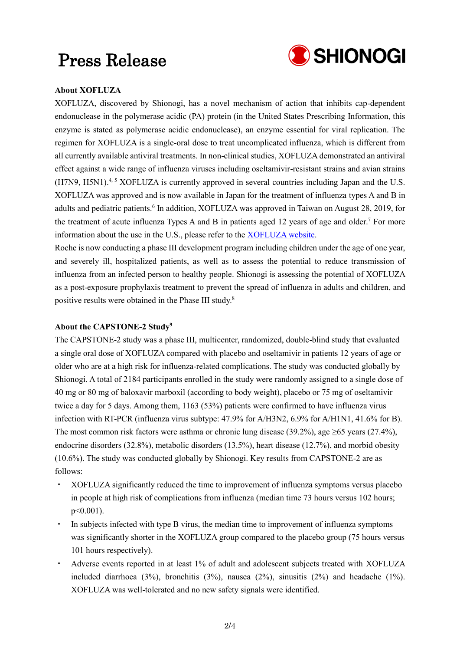

### **About XOFLUZA**

XOFLUZA, discovered by Shionogi, has a novel mechanism of action that inhibits cap-dependent endonuclease in the polymerase acidic (PA) protein (in the United States Prescribing Information, this enzyme is stated as polymerase acidic endonuclease), an enzyme essential for viral replication. The regimen for XOFLUZA is a single-oral dose to treat uncomplicated influenza, which is different from all currently available antiviral treatments. In non-clinical studies, XOFLUZA demonstrated an antiviral effect against a wide range of influenza viruses including oseltamivir-resistant strains and avian strains (H7N9, H5N1).<sup>4, 5</sup> XOFLUZA is currently approved in several countries including Japan and the U.S. XOFLUZA was approved and is now available in Japan for the treatment of influenza types A and B in adults and pediatric patients.<sup>6</sup> In addition, XOFLUZA was approved in Taiwan on August 28, 2019, for the treatment of acute influenza Types A and B in patients aged 12 years of age and older.<sup>7</sup> For more information about the use in the U.S., please refer to the [XOFLUZA website.](https://www.xofluza.com/)

Roche is now conducting a phase III development program including children under the age of one year, and severely ill, hospitalized patients, as well as to assess the potential to reduce transmission of influenza from an infected person to healthy people. Shionogi is assessing the potential of XOFLUZA as a post-exposure prophylaxis treatment to prevent the spread of influenza in adults and children, and positive results were obtained in the Phase III study.<sup>8</sup>

#### **About the CAPSTONE-2 Study<sup>9</sup>**

The CAPSTONE-2 study was a phase III, multicenter, randomized, double-blind study that evaluated a single oral dose of XOFLUZA compared with placebo and oseltamivir in patients 12 years of age or older who are at a high risk for influenza-related complications. The study was conducted globally by Shionogi. A total of 2184 participants enrolled in the study were randomly assigned to a single dose of 40 mg or 80 mg of baloxavir marboxil (according to body weight), placebo or 75 mg of oseltamivir twice a day for 5 days. Among them, 1163 (53%) patients were confirmed to have influenza virus infection with RT-PCR (influenza virus subtype: 47.9% for A/H3N2, 6.9% for A/H1N1, 41.6% for B). The most common risk factors were asthma or chronic lung disease (39.2%), age  $\geq 65$  years (27.4%), endocrine disorders (32.8%), metabolic disorders (13.5%), heart disease (12.7%), and morbid obesity (10.6%). The study was conducted globally by Shionogi. Key results from CAPSTONE-2 are as follows:

- ・ XOFLUZA significantly reduced the time to improvement of influenza symptoms versus placebo in people at high risk of complications from influenza (median time 73 hours versus 102 hours; p<0.001).
- ・ In subjects infected with type B virus, the median time to improvement of influenza symptoms was significantly shorter in the XOFLUZA group compared to the placebo group (75 hours versus 101 hours respectively).
- Adverse events reported in at least 1% of adult and adolescent subjects treated with XOFLUZA included diarrhoea (3%), bronchitis (3%), nausea (2%), sinusitis (2%) and headache (1%). XOFLUZA was well-tolerated and no new safety signals were identified.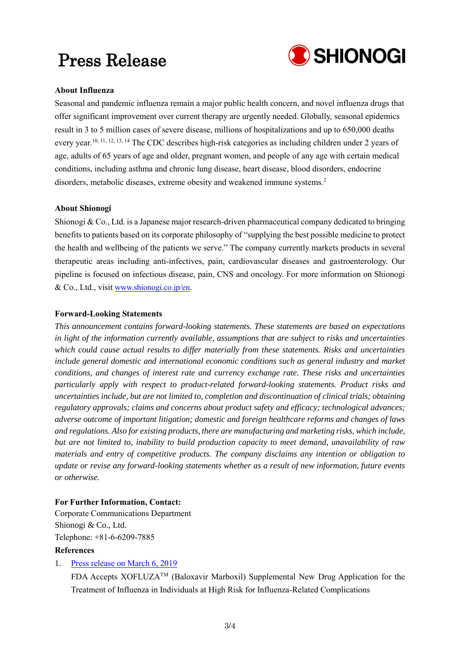

### **About Influenza**

Seasonal and pandemic influenza remain a major public health concern, and novel influenza drugs that offer significant improvement over current therapy are urgently needed. Globally, seasonal epidemics result in 3 to 5 million cases of severe disease, millions of hospitalizations and up to 650,000 deaths every year.<sup>10, 11, 12, 13, 14</sup> The CDC describes high-risk categories as including children under 2 years of age, adults of 65 years of age and older, pregnant women, and people of any age with certain medical conditions, including asthma and chronic lung disease, heart disease, blood disorders, endocrine disorders, metabolic diseases, extreme obesity and weakened immune systems.<sup>2</sup>

#### **About Shionogi**

Shionogi & Co., Ltd. is a Japanese major research-driven pharmaceutical company dedicated to bringing benefits to patients based on its corporate philosophy of "supplying the best possible medicine to protect the health and wellbeing of the patients we serve." The company currently markets products in several therapeutic areas including anti-infectives, pain, cardiovascular diseases and gastroenterology. Our pipeline is focused on infectious disease, pain, CNS and oncology. For more information on Shionogi & Co., Ltd., visit [www.shionogi.co.jp/en](http://www.shionogi.co.jp/en/).

#### **Forward-Looking Statements**

*This announcement contains forward-looking statements. These statements are based on expectations in light of the information currently available, assumptions that are subject to risks and uncertainties which could cause actual results to differ materially from these statements. Risks and uncertainties include general domestic and international economic conditions such as general industry and market conditions, and changes of interest rate and currency exchange rate. These risks and uncertainties particularly apply with respect to product-related forward-looking statements. Product risks and uncertainties include, but are not limited to, completion and discontinuation of clinical trials; obtaining regulatory approvals; claims and concerns about product safety and efficacy; technological advances; adverse outcome of important litigation; domestic and foreign healthcare reforms and changes of laws and regulations. Also for existing products, there are manufacturing and marketing risks, which include, but are not limited to, inability to build production capacity to meet demand, unavailability of raw materials and entry of competitive products. The company disclaims any intention or obligation to update or revise any forward-looking statements whether as a result of new information, future events or otherwise.*

#### **For Further Information, Contact:**

Corporate Communications Department Shionogi & Co., Ltd. Telephone: +81-6-6209-7885

#### **References**

### 1. [Press release on March 6, 2019](http://www.shionogi.co.jp/en/company/news/2019/pmrltj00000040ph-att/e_20190306.pdf)

FDA Accepts XOFLUZATM (Baloxavir Marboxil) Supplemental New Drug Application for the Treatment of Influenza in Individuals at High Risk for Influenza-Related Complications